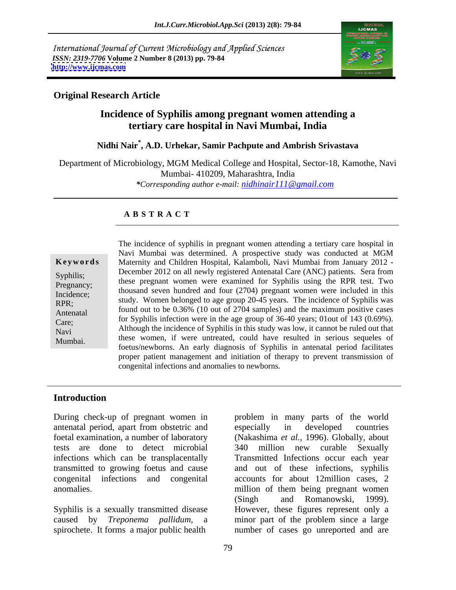International Journal of Current Microbiology and Applied Sciences *ISSN: 2319-7706* **Volume 2 Number 8 (2013) pp. 79-84 <http://www.ijcmas.com>**



## **Original Research Article**

# **Incidence of Syphilis among pregnant women attending a tertiary care hospital in Navi Mumbai, India**

# **Nidhi Nair\* , A.D. Urhekar, Samir Pachpute and Ambrish Srivastava**

Department of Microbiology, MGM Medical College and Hospital, Sector-18, Kamothe, Navi Mumbai- 410209, Maharashtra, India *\*Corresponding author e-mail: nidhinair111@gmail.com*

#### **A B S T R A C T**

**Ke ywo rds** Maternity and Children Hospital, Kalamboli, Navi Mumbai from January 2012 - Syphilis; December 2012 on an newly registered American Care (ANC) patients. Sera from<br>Pregnancy: these pregnant women were examined for Syphilis using the RPR test. Two Pregnancy;<br>Incidence: thousand seven hundred and four (2704) pregnant women were included in this Incidence; thousand seven numero and four  $(2704)$  pregnant women were included in this study. Women belonged to age group 20-45 years. The incidence of Syphilis was<br>RPR; Antenatal found out to be  $0.36\%$  (10 out of 2704 samples) and the maximum positive cases Care;<br>
May and Constitution of Syphilis in this study was low, it cannot be ruled out that<br>
Nay if cannot be ruled out that Navi Mari Annough the incluence of syphins in this study was low, it cannot be ruled out that<br>Mumbai these women, if were untreated, could have resulted in serious sequeles of Mumbai. These women, if were untreated, could have resulted in serious sequeres or foetus/newborns. An early diagnosis of Syphilis in antenatal period facilitates The incidence of syphilis in pregnant women attending a tertiary care hospital in Navi Mumbai was determined. A prospective study was conducted at MGM December 2012 on all newly registered Antenatal Care (ANC) patients. Sera from for Syphilis infection were in the age group of 36-40 years; 01out of 143 (0.69%). proper patient management and initiation of therapy to prevent transmission of congenital infections and anomalies to newborns.

#### **Introduction**

antenatal period, apart from obstetric and infections which can be transplacentally

Syphilis is a sexually transmitted disease

During check-up of pregnant women in problem in many parts of the world foetal examination, a number of laboratory (Nakashima *et al.,* 1996). Globally, about tests are done to detect microbial 340 million new curable Sexually transmitted to growing foetus and cause and out of these infections, syphilis congenital infections and congenital accounts for about 12million cases, 2 anomalies. million of them being pregnant women caused by *Treponema pallidum*, a minor part of the problem since a large spirochete. It forms a major public health number of cases go unreported and are especially in developed countries Transmitted Infections occur each year (Singh and Romanowski, 1999). However, these figures represent only a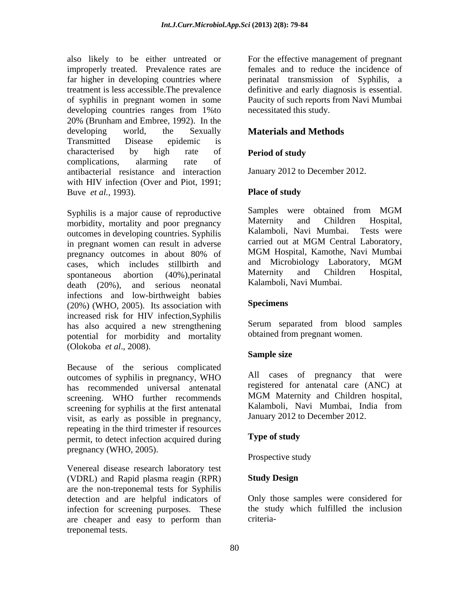also likely to be either untreated or For the effective management of pregnant improperly treated. Prevalence rates are females and to reduce the incidence of far higher in developing countries where perinatal transmission of Syphilis, a treatment is less accessible. The prevalence definitive and early diagnosis is essential. of syphilis in pregnant women in some Paucity of such reports from Navi Mumbai developing countries ranges from 1%to 20% (Brunham and Embree, 1992). In the developing world, the Sexually **Materials and Methods** Transmitted Disease epidemic is characterised by high rate of **Period of study** complications, alarming rate of antibacterial resistance and interaction with HIV infection (Over and Piot, 1991; Buve *et al.*, 1993). **Place of study** 

morbidity, mortality and poor pregnancy<br>
Maternity and Children Hospital,<br>
Maternity and Children Hospital,<br>
Maternity and Children Hospital,<br>
Tests were outcomes in developing countries. Syphilis Kalamboli, Navi Mumbai. Tests were<br>in pregnant women can result in adverse carried out at MGM Central Laboratory, in pregnant women can result in adverse<br>pregnancy outcomes in about 80% of MGM Hospital, Kamothe, Navi Mumbai pregnancy outcomes in about 80% of MGM Hospital, Kamothe, Navi Mumbai cases, which includes stillbirth and and Microbiology Laboratory, MGM<br>sportaneous abortion (40%) perinatal Maternity and Children Hospital, spontaneous abortion (40%), perinatal Maternity and Children Hospital, death (20%), and serious neonatal Kalamboli, Navi-Mumbai. infections and low-birthweight babies<br>(20%) (WHO 2005) Its association with **Specimens** (20%) (WHO, 2005). Its association with increased risk for HIV infection,Syphilis has also acquired a new strengthening potential for morbidity and mortality (Olokoba *et al*., 2008).

Because of the serious complicated outcomes of syphilis in pregnancy, WHO has recommended universal antenatal registered for antenatal care (ANC) at<br>screening WHO further recommends MGM Maternity and Children hospital, screening. WHO further recommends screening for syphilis at the first antenatal visit, as early as possible in pregnancy, repeating in the third trimester if resources<br>
nermit to detect infection acquired during<br> **Type of study** permit, to detect infection acquired during pregnancy (WHO, 2005). Prospective study

Venereal disease research laboratory test (VDRL) and Rapid plasma reagin (RPR) are the non-treponemal tests for Syphilis detection and are helpful indicators of infection for screening purposes. These are cheaper and easy to perform than treponemal tests.

necessitated this study.

# **Materials and Methods**

# **Period of study**

January 2012 to December 2012.

### **Place of study**

Syphilis is a major cause of reproductive Samples were obtained from MGM<br>morbidity mortality and poor pregnancy Maternity and Children Hospital, Samples were obtained from MGM Maternity and Children Hospital, Kalamboli, Navi Mumbai. Tests were carried out at MGM Central Laboratory, MGM Hospital, Kamothe, Navi Mumbai and Microbiology Laboratory, MGM Maternity and Children Hospital, Kalamboli, Navi Mumbai.

## **Specimens**

Serum separated from blood samples obtained from pregnant women.

#### **Sample size**

All cases of pregnancy that were registered for antenatal care (ANC) at MGM Maternity and Children hospital, Kalamboli, Navi Mumbai, India from January 2012 to December 2012.

## **Type of study**

Prospective study

### **Study Design**

Only those samples were considered for the study which fulfilled the inclusion criteria-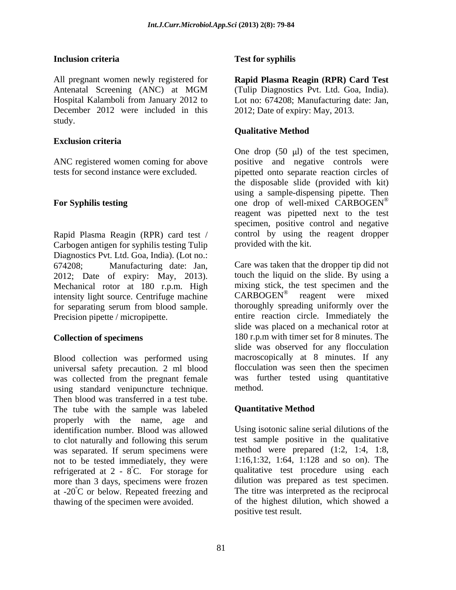### **Inclusion criteria**

All pregnant women newly registered for **Rapid Plasma Reagin (RPR) Card Test** Antenatal Screening (ANC) at MGM (Tulip Diagnostics Pvt. Ltd. Goa, India). Hospital Kalamboli from January 2012 to Lot no: 674208; Manufacturing date: Jan, December 2012 were included in this study.

### **Exclusion criteria**

ANC registered women coming for above

Rapid Plasma Reagin (RPR) card test / Carbogen antigen for syphilis testing Tulip Diagnostics Pvt. Ltd. Goa, India). (Lot no.: 2012; Date of expiry: May, 2013). Mechanical rotor at 180 r.p.m. High mixing stick, the test specimen and the intensity light source. Centrifuge machine CARBOGEN<sup>®</sup> reagent were mixed intensity light source. Centrifuge machine for separating serum from blood sample.

Blood collection was performed using universal safety precaution. 2 ml blood was collected from the pregnant female using standard venipuncture technique. Then blood was transferred in a test tube. The tube with the sample was labeled **Quantitative Method** properly with the name, age and identification number. Blood was allowed to clot naturally and following this serum was separated. If serum specimens were not to be tested immediately, they were refrigerated at  $2 - 8^{\circ}$ C. For storage for more than 3 days, specimens were frozen more than 3 days, specimens were frozen dilution was prepared as test specimen. at  $-20^{\circ}$ C or below. Repeated freezing and thawing of the specimen were avoided.

### **Test for syphilis**

(Tulip Diagnostics Pvt. Ltd. Goa, India). 2012; Date of expiry: May, 2013.

### **Qualitative Method**

tests for second instance were excluded. pipetted onto separate reaction circles of For Syphilis testing one one drop of well-mixed CARBOGEN<sup>®</sup> One drop  $(50 \text{ µ})$  of the test specimen, positive and negative controls were the disposable slide (provided with kit) using a sample-dispensing pipette. Then reagent was pipetted next to the test specimen, positive control and negative control by using the reagent dropper provided with the kit.

674208; Manufacturing date: Jan, Care was taken that the dropper tip did not Precision pipette / micropipette. The entire reaction circle. Immediately the **Collection of specimens** 180 r.p.m with timer set for 8 minutes. The touch the liquid on the slide. By using a mixing stick, the test specimen and the CARBOGEN<sup>®</sup> reagent were mixed reagent were mixed thoroughly spreading uniformly over the slide was placed on a mechanical rotor at slide was observed for any flocculation macroscopically at 8 minutes. If any flocculation was seen then the specimen was further tested using quantitative method.

## **Quantitative Method**

ºC. For storage for qualitative test procedure using each Using isotonic saline serial dilutions of the test sample positive in the qualitative method were prepared (1:2, 1:4, 1:8, 1:16,1:32, 1:64, 1:128 and so on). The The titre was interpreted as the reciprocal of the highest dilution, which showed a positive test result.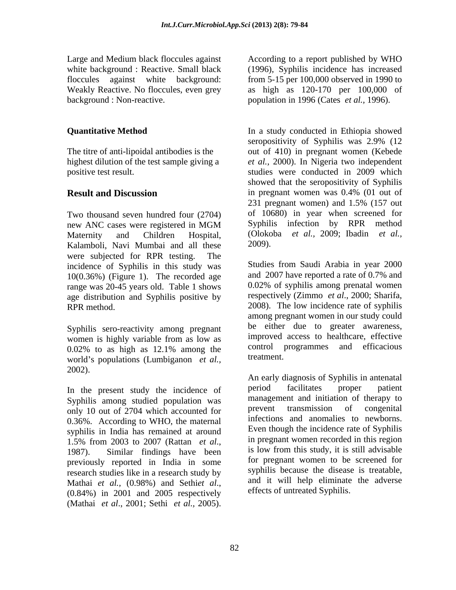Large and Medium black floccules against According to a report published by WHO background : Non-reactive. population in 1996 (Cates *et al.,* 1996).

Two thousand seven hundred four (2704) Kalamboli, Navi Mumbai and all these 2009). were subjected for RPR testing. The incidence of Syphilis in this study was 10(0.36%) (Figure 1). The recorded age range was 20-45 years old. Table 1 shows age distribution and Syphilis positive by

Syphilis sero-reactivity among pregnant women is highly variable from as low as  $\frac{1}{2}$  improved access to healthcare, effective 0.02% to as high as 12.1% among the control programmes and efficacious world's populations (Lumbiganon *et al.*, treatment. 2002).

Syphilis among studied population was management and initiation of the<br>rapy to only 10 out of 2704 which accounted for the prevent transmission of congenital only 10 out of 2704 which accounted for the prevent transmission of congenital<br>0.36% According to WHO the maternal infections and anomalies to newborns. 0.36%. According to WHO, the maternal intections and anomalies to newborns.<br>synbilis in India has remained at around Even though the incidence rate of Syphilis syphilis in India has remained at around previously reported in India in some research studies like in a research study by Mathai *et al.*, (0.98%) and Sethi*et al.*, and it will help eliminate the adverse (0.84%) in 2001 and 2005 respectively effects of untreated Syphilis.

white background : Reactive. Small black (1996), Syphilis incidence has increased floccules against white background: from 5-15 per 100,000 observed in 1990 to Weakly Reactive. No floccules, even grey as high as 120-170 per 100,000 of

**Quantitative Method In a study conducted in Ethiopia showed In a study conducted in Ethiopia** showed The titre of anti-lipoidal antibodies is the out of 410) in pregnant women (Kebede highest dilution of the test sample giving a *et al.,* 2000). In Nigeria two independent positive test result. studies were conducted in 2009 which **Result and Discussion**<br>231 pregnant women and 1.5% (157 out of 231 pregnant women) and 1.5% (157 out new ANC cases were registered in MGM Syphilis infection by RPR method Maternity and Children Hospital, (Olokoba *et al.,* 2009; Ibadin *et al.,* seropositivity of Syphilis was 2.9% (12 showed that the seropositivity of Syphilis in pregnant women was 0.4% (01 out of 231 pregnant women) and 1.5% (157 out of 10680) in year when screened for Syphilis infection by RPR method 2009).

RPR method. 2008). The low incidence rate of syphilis 0.02% to as high as 12.1% among the control programmes and efficacious Studies from Saudi Arabia in year 2000 and 2007 have reported a rate of 0.7% and 0.02% of syphilis among prenatal women respectively (Zimmo *et al*., 2000; Sharifa, among pregnant women in our study could be either due to greater awareness, improved access to healthcare, effective control programmes and efficacious treatment.

In the present study the incidence of period facilitates proper patient 1.5% from 2003 to 2007 (Rattan *et al.*, <sup>11</sup> in pregnant women recorded in this region 1987). Similar findings have been is low from this study, it is still advisable Large and MeCaass were realized to a report published by WHO according to a report published by WHO according to a report published by What is the context of *BISO* (Discussion and the background: Fourtheast context in the An early diagnosis of Syphilis in antenatal period facilitates proper patient management and initiation of therapy to prevent transmission of congenital infections and anomalies to newborns. Even though the incidence rate of Syphilis in pregnant women recorded in this region is low from this study, it is still advisable for pregnant women to be screened for syphilis because the disease is treatable, and it will help eliminate the adverse effects of untreated Syphilis.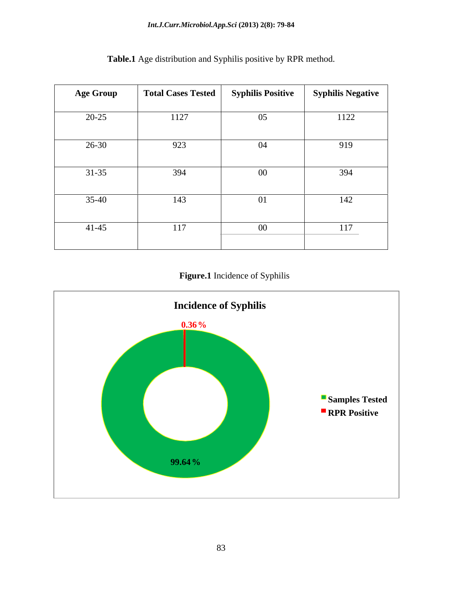| <b>Age Group</b> | Total Cases Tested | <b>Syphilis Positive</b> | <b>Syphilis Negative</b> |
|------------------|--------------------|--------------------------|--------------------------|
| $20 - 25$        | 1127               | 05                       | 1122                     |
| 26-30            | 923                | 04                       | 919                      |
| $31 - 35$        | 394                | $00\,$                   | 394                      |
| $35-40$          | 143                | 01                       | 142                      |
| $41 - 45$        | 117                | $00\,$                   | 117                      |

**Table.1** Age distribution and Syphilis positive by RPR method.

# **Figure.1** Incidence of Syphilis